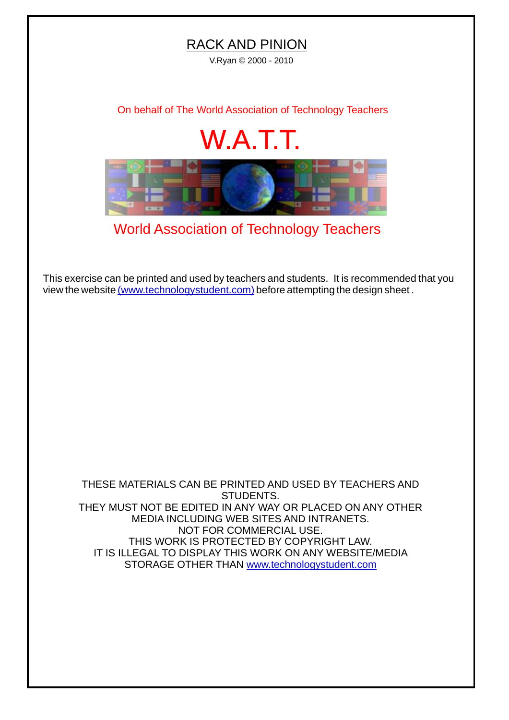